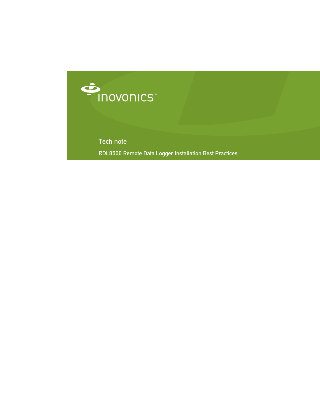

Tech note

RDL8500 Remote Data Logger Installation Best Practices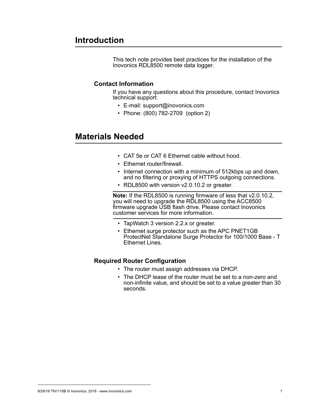# **Introduction**

This tech note provides best practices for the installation of the Inovonics RDL8500 remote data logger.

## **Contact Information**

If you have any questions about this procedure, contact Inovonics technical support:

- E-mail: support@inovonics.com
- Phone: (800) 782-2709 (option 2)

# **Materials Needed**

- CAT 5e or CAT 6 Ethernet cable without hood.
- Ethernet router/firewall.
- Internet connection with a minimum of 512kbps up and down, and no filtering or proxying of HTTPS outgoing connections.
- RDL8500 with version v2.0.10.2 or greater.

**Note:** If the RDL8500 is running firmware of less that v2.0.10.2, you will need to upgrade the RDL8500 using the ACC8500 firmware upgrade USB flash drive. Please contact Inovonics customer services for more information.

- TapWatch 3 version 2.2.x or greater.
- Ethernet surge protector such as the APC PNET1GB ProtectNet Standalone Surge Protector for 100/1000 Base - T Ethernet Lines.

## **Required Router Configuration**

- The router must assign addresses via DHCP.
- The DHCP lease of the router must be set to a non-zero and non-infinite value, and should be set to a value greater than 30 seconds.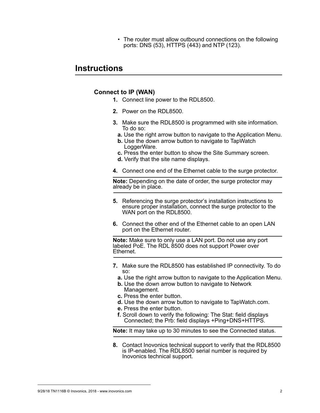• The router must allow outbound connections on the following ports: DNS (53), HTTPS (443) and NTP (123).

# **Instructions**

## **Connect to IP (WAN)**

- **1.** Connect line power to the RDL8500.
- **2.** Power on the RDL8500.
- **3.** Make sure the RDL8500 is programmed with site information. To do so:
	- **a.** Use the right arrow button to navigate to the Application Menu.
	- **b.** Use the down arrow button to navigate to TapWatch LoggerWare.
	- **c.** Press the enter button to show the Site Summary screen.
	- **d.** Verify that the site name displays.
- **4.** Connect one end of the Ethernet cable to the surge protector.

**Note:** Depending on the date of order, the surge protector may already be in place.

- **5.** Referencing the surge protector's installation instructions to ensure proper installation, connect the surge protector to the WAN port on the RDL8500.
- **6.** Connect the other end of the Ethernet cable to an open LAN port on the Ethernet router.

**Note:** Make sure to only use a LAN port. Do not use any port labeled PoE. The RDL 8500 does not support Power over **Ethernet** 

- **7.** Make sure the RDL8500 has established IP connectivity. To do so:
	- **a.** Use the right arrow button to navigate to the Application Menu.
	- **b.** Use the down arrow button to navigate to Network Management.
	- **c.** Press the enter button.
	- **d.** Use the down arrow button to navigate to TapWatch.com.
	- **e.** Press the enter button.
	- **f.** Scroll down to verify the following: The Stat: field displays Connected; the Prb: field displays +Ping+DNS+HTTPS.

**Note:** It may take up to 30 minutes to see the Connected status.

**8.** Contact Inovonics technical support to verify that the RDL8500 is IP-enabled. The RDL8500 serial number is required by Inovonics technical support.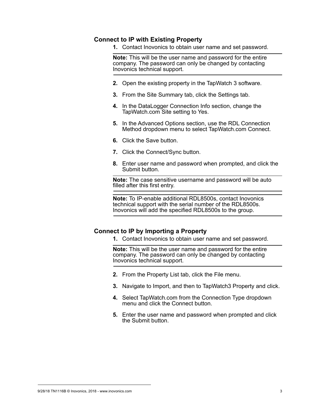### **Connect to IP with Existing Property**

**1.** Contact Inovonics to obtain user name and set password.

**Note:** This will be the user name and password for the entire company. The password can only be changed by contacting Inovonics technical support.

- **2.** Open the existing property in the TapWatch 3 software.
- **3.** From the Site Summary tab, click the Settings tab.
- **4.** In the DataLogger Connection Info section, change the TapWatch.com Site setting to Yes.
- **5.** In the Advanced Options section, use the RDL Connection Method dropdown menu to select TapWatch.com Connect.
- **6.** Click the Save button.
- **7.** Click the Connect/Sync button.
- **8.** Enter user name and password when prompted, and click the Submit button.

**Note:** The case sensitive username and password will be auto filled after this first entry.

**Note:** To IP-enable additional RDL8500s, contact Inovonics technical support with the serial number of the RDL8500s. Inovonics will add the specified RDL8500s to the group.

#### **Connect to IP by Importing a Property**

**1.** Contact Inovonics to obtain user name and set password.

**Note:** This will be the user name and password for the entire company. The password can only be changed by contacting Inovonics technical support.

- **2.** From the Property List tab, click the File menu.
- **3.** Navigate to Import, and then to TapWatch3 Property and click.
- **4.** Select TapWatch.com from the Connection Type dropdown menu and click the Connect button.
- **5.** Enter the user name and password when prompted and click the Submit button.